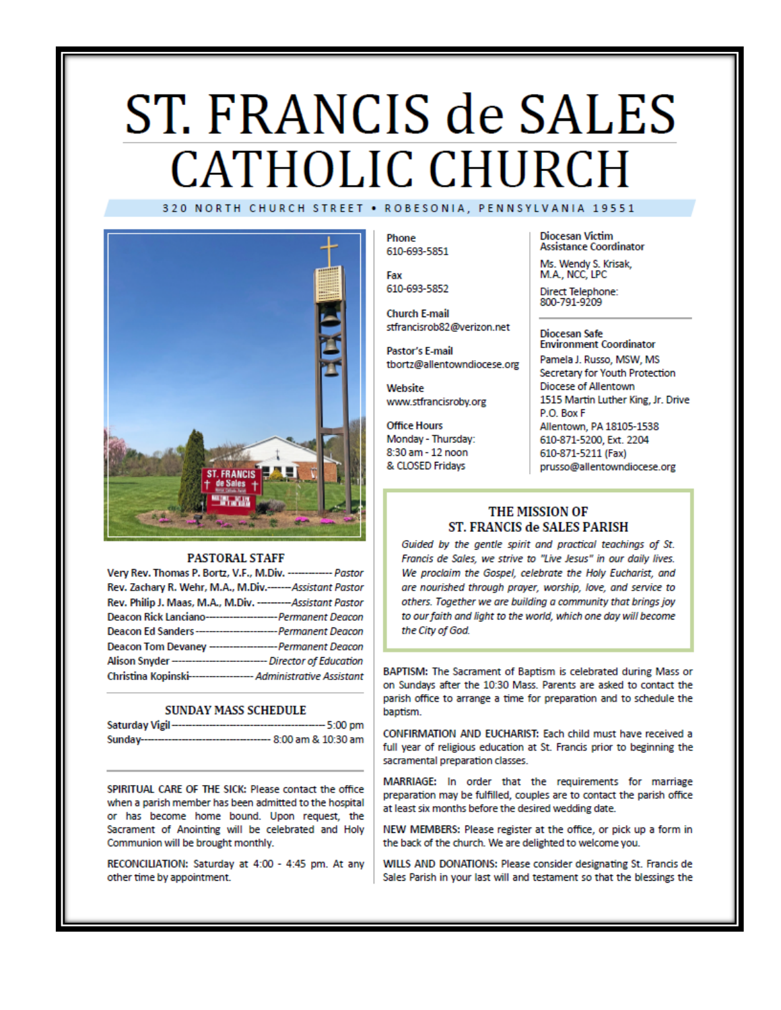# ST. FRANCIS de SALES **CATHOLIC CHURCH** 320 NORTH CHURCH STREET . ROBESONIA, PENNSYLVANIA 19551



#### **PASTORAL STAFF**

| Very Rev. Thomas P. Bortz, V.F., M.Div. ------------- Pastor        |  |
|---------------------------------------------------------------------|--|
| Rev. Zachary R. Wehr, M.A., M.Div.------Assistant Pastor            |  |
| Rev. Philip J. Maas, M.A., M.Div. --------- Assistant Pastor        |  |
| Deacon Rick Lanciano----------------------- Permanent Deacon        |  |
| Deacon Ed Sanders---------------------------- Permanent Deacon      |  |
| Deacon Tom Devaney --------------------- Permanent Deacon           |  |
| Alison Snyder ------------------------------- Director of Education |  |
| Christina Kopinski------------------- Administrative Assistant      |  |

#### **SUNDAY MASS SCHEDULE**

| Saturday Vigil-<br>------------------------ | ---- 5:00 pm           |
|---------------------------------------------|------------------------|
| Sunday--------------------------            | --- 8:00 am & 10:30 am |

SPIRITUAL CARE OF THE SICK: Please contact the office when a parish member has been admitted to the hospital or has become home bound. Upon request, the Sacrament of Anointing will be celebrated and Holy Communion will be brought monthly.

RECONCILIATION: Saturday at 4:00 - 4:45 pm. At any other time by appointment.

Phone 610-693-5851

Fax 610-693-5852

**Church E-mail** stfrancisrob82@verizon.net

Pastor's E-mail tbortz@allentowndiocese.org

Website www.stfrancisroby.org

**Office Hours** Monday - Thursday: 8:30 am - 12 noon & CLOSED Fridays

**Diocesan Victim Assistance Coordinator** 

Ms. Wendy S. Krisak, M.A., NCC, LPC

Direct Telephone:<br>800-791-9209

#### **Diocesan Safe Environment Coordinator**

Pamela J. Russo, MSW, MS Secretary for Youth Protection Diocese of Allentown 1515 Martin Luther King, Jr. Drive P.O. Box F Allentown, PA 18105-1538 610-871-5200, Ext. 2204 610-871-5211 (Fax) prusso@allentowndiocese.org

### THE MISSION OF ST. FRANCIS de SALES PARISH

Guided by the gentle spirit and practical teachings of St. Francis de Sales, we strive to "Live Jesus" in our daily lives. We proclaim the Gospel, celebrate the Holy Eucharist, and are nourished through prayer, worship, love, and service to others. Together we are building a community that brings joy to our faith and light to the world, which one day will become the City of God.

BAPTISM: The Sacrament of Baptism is celebrated during Mass or on Sundays after the 10:30 Mass. Parents are asked to contact the parish office to arrange a time for preparation and to schedule the baptism.

CONFIRMATION AND EUCHARIST: Each child must have received a full year of religious education at St. Francis prior to beginning the sacramental preparation classes.

MARRIAGE: In order that the requirements for marriage preparation may be fulfilled, couples are to contact the parish office at least six months before the desired wedding date.

NEW MEMBERS: Please register at the office, or pick up a form in the back of the church. We are delighted to welcome you.

WILLS AND DONATIONS: Please consider designating St. Francis de Sales Parish in your last will and testament so that the blessings the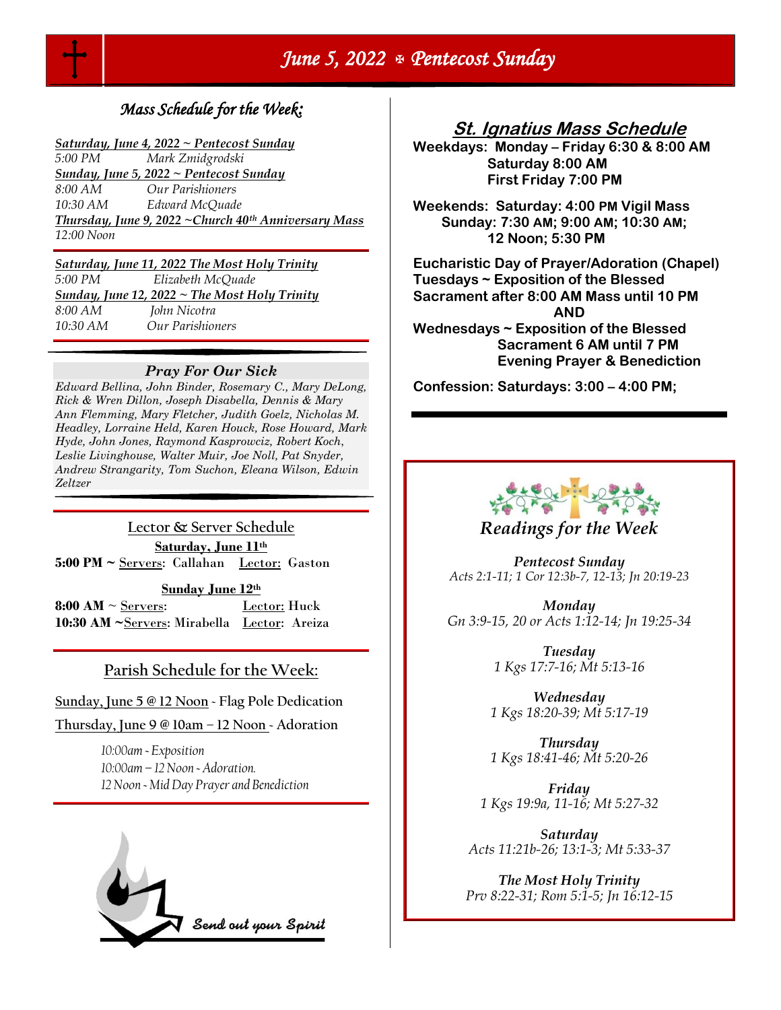

# *June 5, 2022 Pentecost Sunday*

# *Mass Schedule for the Week:*

*Saturday, June 4, 2022 ~ Pentecost Sunday 5:00 PM Mark Zmidgrodski Sunday, June 5, 2022 ~ Pentecost Sunday 8:00 AM Our Parishioners 10:30 AM Edward McQuade Thursday, June 9, 2022 ~Church 40th Anniversary Mass 12:00 Noon*

### *Saturday, June 11, 2022 The Most Holy Trinity*

*5:00 PM Elizabeth McQuade Sunday, June 12, 2022 ~ The Most Holy Trinity 8:00 AM John Nicotra 10:30 AM Our Parishioners* 

## *Pray For Our Sick*

*Edward Bellina, John Binder, Rosemary C., Mary DeLong, Rick & Wren Dillon, Joseph Disabella, Dennis & Mary Ann Flemming, Mary Fletcher, Judith Goelz, Nicholas M. Headley, Lorraine Held, Karen Houck, Rose Howard, Mark Hyde, John Jones, Raymond Kasprowciz, Robert Koch*, *Leslie Livinghouse, Walter Muir, Joe Noll, Pat Snyder, Andrew Strangarity, Tom Suchon, Eleana Wilson, Edwin Zeltzer*

**Lector & Server Schedule Saturday, June 11th 5:00 PM ~** Servers: Callahan Lector: Gaston

**Sunday June 12th** 

**8:00 AM**  $\sim$  <u>Servers</u>: Lector: Huck **10:30 AM ~**Servers: Mirabella Lector: Areiza

## **Parish Schedule for the Week:**

**Sunday, June 5 @ 12 Noon ~ Flag Pole Dedication** 

**Thursday, June 9 @ 10am – 12 Noon ~ Adoration**

*10:00am ~ Exposition 10:00am – 12 Noon ~ Adoration. 12 Noon ~ Mid Day Prayer and Benediction* 



## **St. Ignatius Mass Schedule**

**Weekdays: Monday – Friday 6:30 & 8:00 AM Saturday 8:00 AM First Friday 7:00 PM** 

**Weekends: Saturday: 4:00 PM Vigil Mass Sunday: 7:30 AM; 9:00 AM; 10:30 AM; 12 Noon; 5:30 PM** 

**Eucharistic Day of Prayer/Adoration (Chapel) Tuesdays ~ Exposition of the Blessed Sacrament after 8:00 AM Mass until 10 PM AND Wednesdays ~ Exposition of the Blessed Sacrament 6 AM until 7 PM Evening Prayer & Benediction**

**Confession: Saturdays: 3:00 – 4:00 PM;** 



## *Readings for the Week*

*Pentecost Sunday Acts 2:1-11; 1 Cor 12:3b-7, 12-13; Jn 20:19-23*

*Monday Gn 3:9-15, 20 or Acts 1:12-14; Jn 19:25-34*

> *Tuesday 1 Kgs 17:7-16; Mt 5:13-16*

*Wednesday 1 Kgs 18:20-39; Mt 5:17-19*

*Thursday 1 Kgs 18:41-46; Mt 5:20-26*

*Friday 1 Kgs 19:9a, 11-16; Mt 5:27-32*

*Saturday Acts 11:21b-26; 13:1-3; Mt 5:33-37*

*The Most Holy Trinity Prv 8:22-31; Rom 5:1-5; Jn 16:12-15*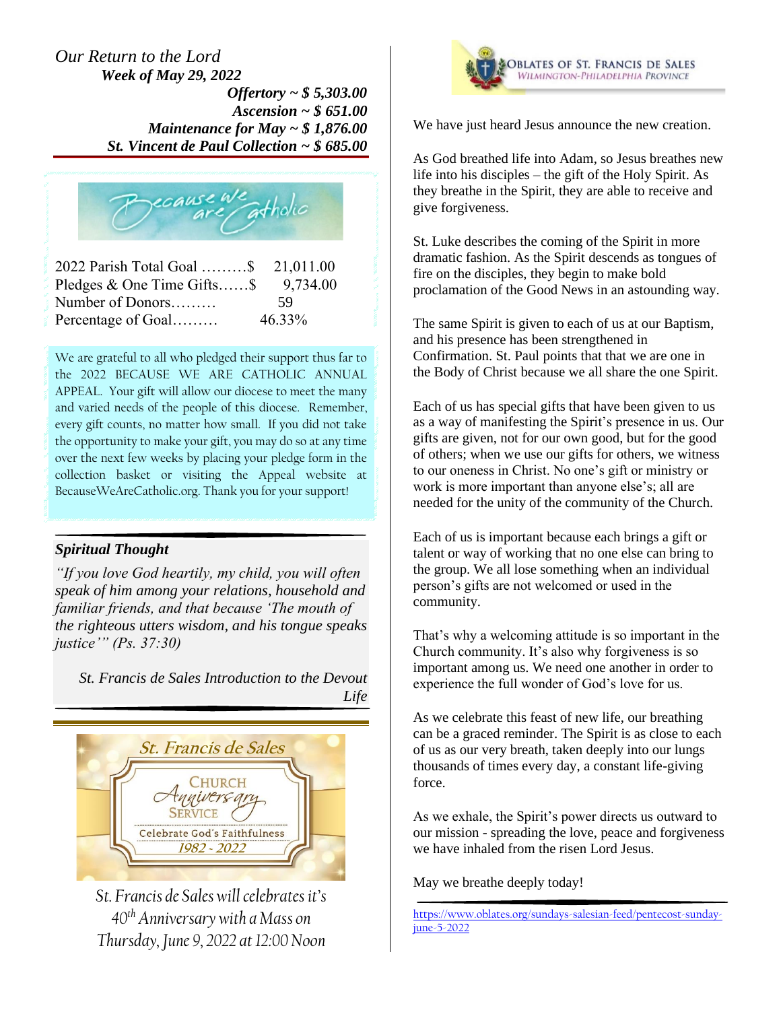## *Our Return to the Lord Week of May 29, 2022*

*Offertory ~ \$ 5,303.00 Ascension ~ \$ 651.00 Maintenance for May ~ \$ 1,876.00 St. Vincent de Paul Collection ~ \$ 685.00*



| 2022 Parish Total Goal \$ 21,011.00 |          |
|-------------------------------------|----------|
| Pledges $\&$ One Time Gifts\$       | 9,734.00 |
| Number of Donors                    | 59       |
| Percentage of Goal                  | 46.33%   |

We are grateful to all who pledged their support thus far to the 2022 BECAUSE WE ARE CATHOLIC ANNUAL APPEAL. Your gift will allow our diocese to meet the many and varied needs of the people of this diocese. Remember, every gift counts, no matter how small. If you did not take the opportunity to make your gift, you may do so at any time over the next few weeks by placing your pledge form in the collection basket or visiting the Appeal website at BecauseWeAreCatholic.org. Thank you for your support!

## *Spiritual Thought*

*"If you love God heartily, my child, you will often speak of him among your relations, household and familiar friends, and that because 'The mouth of the righteous utters wisdom, and his tongue speaks justice'" (Ps. 37:30)*

*St. Francis de Sales Introduction to the Devout Life*



*St. Francis de Sales will celebrates it's 40th Anniversary with a Mass on Thursday, June 9, 2022 at 12:00 Noon*



We have just heard Jesus announce the new creation.

As God breathed life into Adam, so Jesus breathes new life into his disciples – the gift of the Holy Spirit. As they breathe in the Spirit, they are able to receive and give forgiveness.

St. Luke describes the coming of the Spirit in more dramatic fashion. As the Spirit descends as tongues of fire on the disciples, they begin to make bold proclamation of the Good News in an astounding way.

The same Spirit is given to each of us at our Baptism, and his presence has been strengthened in Confirmation. St. Paul points that that we are one in the Body of Christ because we all share the one Spirit.

Each of us has special gifts that have been given to us as a way of manifesting the Spirit's presence in us. Our gifts are given, not for our own good, but for the good of others; when we use our gifts for others, we witness to our oneness in Christ. No one's gift or ministry or work is more important than anyone else's; all are needed for the unity of the community of the Church.

Each of us is important because each brings a gift or talent or way of working that no one else can bring to the group. We all lose something when an individual person's gifts are not welcomed or used in the community.

That's why a welcoming attitude is so important in the Church community. It's also why forgiveness is so important among us. We need one another in order to experience the full wonder of God's love for us.

As we celebrate this feast of new life, our breathing can be a graced reminder. The Spirit is as close to each of us as our very breath, taken deeply into our lungs thousands of times every day, a constant life-giving force.

As we exhale, the Spirit's power directs us outward to our mission - spreading the love, peace and forgiveness we have inhaled from the risen Lord Jesus.

May we breathe deeply today!

[https://www.oblates.org/sundays-salesian-feed/pentecost-sunday](https://www.oblates.org/sundays-salesian-feed/pentecost-sunday-june-5-2022)[june-5-2022](https://www.oblates.org/sundays-salesian-feed/pentecost-sunday-june-5-2022)